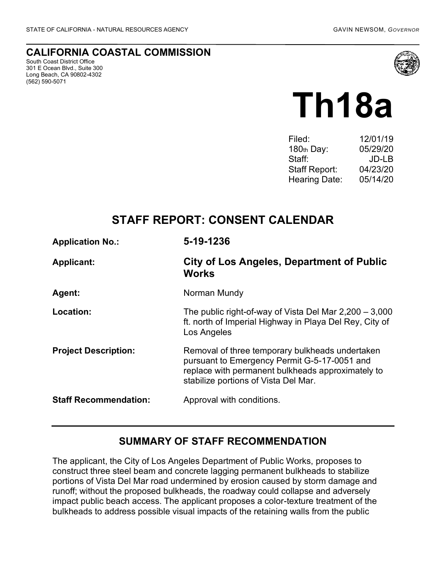## **CALIFORNIA COASTAL COMMISSION**

South Coast District Office 301 E Ocean Blvd., Suite 300 Long Beach, CA 90802-4302 (562) 590-5071



# **Th18a**

| Filed:               | 12/01/19 |
|----------------------|----------|
| 180th Day:           | 05/29/20 |
| Staff:               | JD-LB    |
| Staff Report:        | 04/23/20 |
| <b>Hearing Date:</b> | 05/14/20 |
|                      |          |

# **STAFF REPORT: CONSENT CALENDAR**

| <b>Application No.:</b>      | 5-19-1236                                                                                                                                                                                    |
|------------------------------|----------------------------------------------------------------------------------------------------------------------------------------------------------------------------------------------|
| <b>Applicant:</b>            | City of Los Angeles, Department of Public<br><b>Works</b>                                                                                                                                    |
| Agent:                       | Norman Mundy                                                                                                                                                                                 |
| Location:                    | The public right-of-way of Vista Del Mar $2,200 - 3,000$<br>ft. north of Imperial Highway in Playa Del Rey, City of<br>Los Angeles                                                           |
| <b>Project Description:</b>  | Removal of three temporary bulkheads undertaken<br>pursuant to Emergency Permit G-5-17-0051 and<br>replace with permanent bulkheads approximately to<br>stabilize portions of Vista Del Mar. |
| <b>Staff Recommendation:</b> | Approval with conditions.                                                                                                                                                                    |

## **SUMMARY OF STAFF RECOMMENDATION**

The applicant, the City of Los Angeles Department of Public Works, proposes to construct three steel beam and concrete lagging permanent bulkheads to stabilize portions of Vista Del Mar road undermined by erosion caused by storm damage and runoff; without the proposed bulkheads, the roadway could collapse and adversely impact public beach access. The applicant proposes a color-texture treatment of the bulkheads to address possible visual impacts of the retaining walls from the public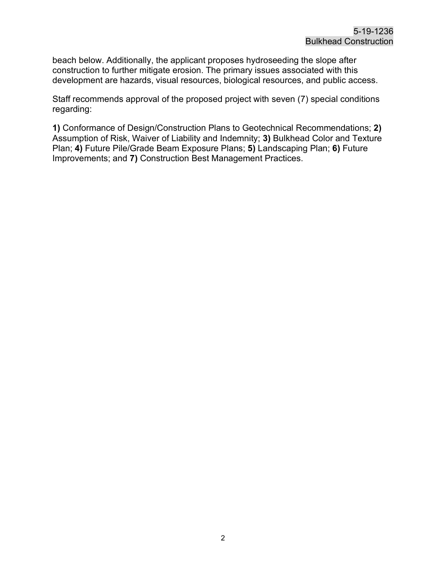beach below. Additionally, the applicant proposes hydroseeding the slope after construction to further mitigate erosion. The primary issues associated with this development are hazards, visual resources, biological resources, and public access.

Staff recommends approval of the proposed project with seven (7) special conditions regarding:

**1)** Conformance of Design/Construction Plans to Geotechnical Recommendations; **2)** Assumption of Risk, Waiver of Liability and Indemnity; **3)** Bulkhead Color and Texture Plan; **4)** Future Pile/Grade Beam Exposure Plans; **5)** Landscaping Plan; **6)** Future Improvements; and **7)** Construction Best Management Practices.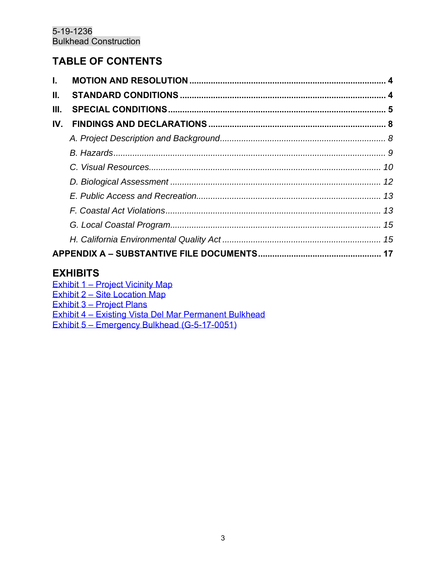# **TABLE OF CONTENTS**

| L.  |  |
|-----|--|
| Ш.  |  |
| Ш.  |  |
| IV. |  |
|     |  |
|     |  |
|     |  |
|     |  |
|     |  |
|     |  |
|     |  |
|     |  |
|     |  |

## **EXHIBITS**

Exhibit 1 – [Project Vicinity Map](https://documents.coastal.ca.gov/reports/2020/5/Th18a/Th18a-5-2020-exhibits.pdf) Exhibit 2 – [Site Location Map](https://documents.coastal.ca.gov/reports/2020/5/Th18a/Th18a-5-2020-exhibits.pdf) Exhibit 3 – [Project Plans](https://documents.coastal.ca.gov/reports/2020/5/Th18a/Th18a-5-2020-exhibits.pdf) Exhibit 4 – [Existing Vista Del Mar Permanent Bulkhead](https://documents.coastal.ca.gov/reports/2020/5/Th18a/Th18a-5-2020-exhibits.pdf) Exhibit 5 – [Emergency Bulkhead](https://documents.coastal.ca.gov/reports/2020/5/Th18a/Th18a-5-2020-exhibits.pdf) (G-5-17-0051)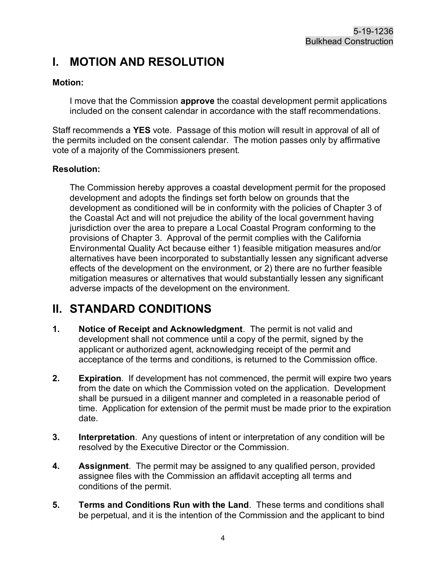# <span id="page-3-0"></span>**I. MOTION AND RESOLUTION**

## **Motion:**

I move that the Commission **approve** the coastal development permit applications included on the consent calendar in accordance with the staff recommendations.

Staff recommends a **YES** vote. Passage of this motion will result in approval of all of the permits included on the consent calendar. The motion passes only by affirmative vote of a majority of the Commissioners present.

### **Resolution:**

The Commission hereby approves a coastal development permit for the proposed development and adopts the findings set forth below on grounds that the development as conditioned will be in conformity with the policies of Chapter 3 of the Coastal Act and will not prejudice the ability of the local government having jurisdiction over the area to prepare a Local Coastal Program conforming to the provisions of Chapter 3. Approval of the permit complies with the California Environmental Quality Act because either 1) feasible mitigation measures and/or alternatives have been incorporated to substantially lessen any significant adverse effects of the development on the environment, or 2) there are no further feasible mitigation measures or alternatives that would substantially lessen any significant adverse impacts of the development on the environment.

# <span id="page-3-1"></span>**II. STANDARD CONDITIONS**

- **1. Notice of Receipt and Acknowledgment**. The permit is not valid and development shall not commence until a copy of the permit, signed by the applicant or authorized agent, acknowledging receipt of the permit and acceptance of the terms and conditions, is returned to the Commission office.
- **2. Expiration**. If development has not commenced, the permit will expire two years from the date on which the Commission voted on the application. Development shall be pursued in a diligent manner and completed in a reasonable period of time. Application for extension of the permit must be made prior to the expiration date.
- **3. Interpretation**. Any questions of intent or interpretation of any condition will be resolved by the Executive Director or the Commission.
- **4. Assignment**. The permit may be assigned to any qualified person, provided assignee files with the Commission an affidavit accepting all terms and conditions of the permit.
- **5. Terms and Conditions Run with the Land**. These terms and conditions shall be perpetual, and it is the intention of the Commission and the applicant to bind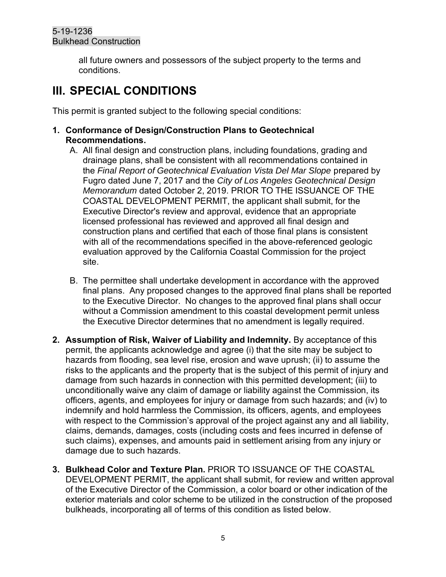all future owners and possessors of the subject property to the terms and conditions.

# <span id="page-4-0"></span>**III. SPECIAL CONDITIONS**

This permit is granted subject to the following special conditions:

- **1. Conformance of Design/Construction Plans to Geotechnical Recommendations.**
	- A. All final design and construction plans, including foundations, grading and drainage plans, shall be consistent with all recommendations contained in the *Final Report of Geotechnical Evaluation Vista Del Mar Slope* prepared by Fugro dated June 7, 2017 and the *City of Los Angeles Geotechnical Design Memorandum* dated October 2, 2019. PRIOR TO THE ISSUANCE OF THE COASTAL DEVELOPMENT PERMIT, the applicant shall submit, for the Executive Director's review and approval, evidence that an appropriate licensed professional has reviewed and approved all final design and construction plans and certified that each of those final plans is consistent with all of the recommendations specified in the above-referenced geologic evaluation approved by the California Coastal Commission for the project site.
	- B. The permittee shall undertake development in accordance with the approved final plans. Any proposed changes to the approved final plans shall be reported to the Executive Director. No changes to the approved final plans shall occur without a Commission amendment to this coastal development permit unless the Executive Director determines that no amendment is legally required.
- **2. Assumption of Risk, Waiver of Liability and Indemnity.** By acceptance of this permit, the applicants acknowledge and agree (i) that the site may be subject to hazards from flooding, sea level rise, erosion and wave uprush; (ii) to assume the risks to the applicants and the property that is the subject of this permit of injury and damage from such hazards in connection with this permitted development; (iii) to unconditionally waive any claim of damage or liability against the Commission, its officers, agents, and employees for injury or damage from such hazards; and (iv) to indemnify and hold harmless the Commission, its officers, agents, and employees with respect to the Commission's approval of the project against any and all liability, claims, demands, damages, costs (including costs and fees incurred in defense of such claims), expenses, and amounts paid in settlement arising from any injury or damage due to such hazards.
- **3. Bulkhead Color and Texture Plan.** PRIOR TO ISSUANCE OF THE COASTAL DEVELOPMENT PERMIT, the applicant shall submit, for review and written approval of the Executive Director of the Commission, a color board or other indication of the exterior materials and color scheme to be utilized in the construction of the proposed bulkheads, incorporating all of terms of this condition as listed below.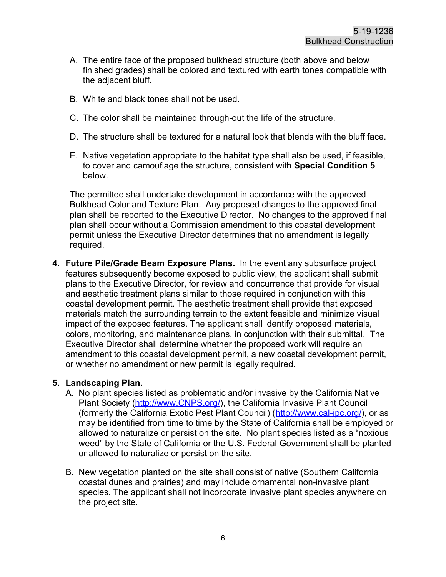- A. The entire face of the proposed bulkhead structure (both above and below finished grades) shall be colored and textured with earth tones compatible with the adjacent bluff.
- B. White and black tones shall not be used.
- C. The color shall be maintained through-out the life of the structure.
- D. The structure shall be textured for a natural look that blends with the bluff face.
- E. Native vegetation appropriate to the habitat type shall also be used, if feasible, to cover and camouflage the structure, consistent with **Special Condition 5** below.

The permittee shall undertake development in accordance with the approved Bulkhead Color and Texture Plan. Any proposed changes to the approved final plan shall be reported to the Executive Director. No changes to the approved final plan shall occur without a Commission amendment to this coastal development permit unless the Executive Director determines that no amendment is legally required.

**4. Future Pile/Grade Beam Exposure Plans.** In the event any subsurface project features subsequently become exposed to public view, the applicant shall submit plans to the Executive Director, for review and concurrence that provide for visual and aesthetic treatment plans similar to those required in conjunction with this coastal development permit. The aesthetic treatment shall provide that exposed materials match the surrounding terrain to the extent feasible and minimize visual impact of the exposed features. The applicant shall identify proposed materials, colors, monitoring, and maintenance plans, in conjunction with their submittal. The Executive Director shall determine whether the proposed work will require an amendment to this coastal development permit, a new coastal development permit, or whether no amendment or new permit is legally required.

#### **5. Landscaping Plan.**

- A. No plant species listed as problematic and/or invasive by the California Native Plant Society [\(http://www.CNPS.org/\)](http://www.cnps.org/), the California Invasive Plant Council (formerly the California Exotic Pest Plant Council) [\(http://www.cal-ipc.org/\)](http://www.cal-ipc.org/), or as may be identified from time to time by the State of California shall be employed or allowed to naturalize or persist on the site. No plant species listed as a "noxious weed" by the State of California or the U.S. Federal Government shall be planted or allowed to naturalize or persist on the site.
- B. New vegetation planted on the site shall consist of native (Southern California coastal dunes and prairies) and may include ornamental non-invasive plant species. The applicant shall not incorporate invasive plant species anywhere on the project site.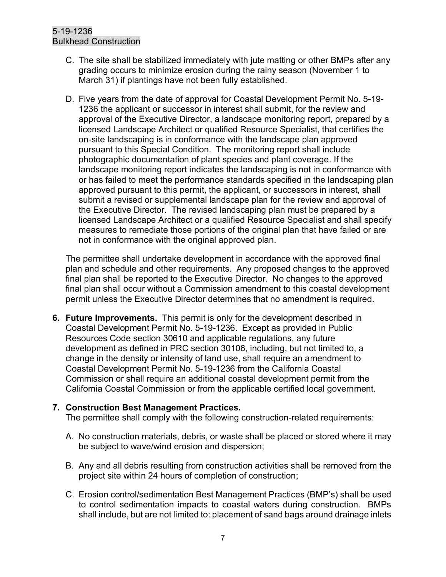- C. The site shall be stabilized immediately with jute matting or other BMPs after any grading occurs to minimize erosion during the rainy season (November 1 to March 31) if plantings have not been fully established.
- D. Five years from the date of approval for Coastal Development Permit No. 5-19- 1236 the applicant or successor in interest shall submit, for the review and approval of the Executive Director, a landscape monitoring report, prepared by a licensed Landscape Architect or qualified Resource Specialist, that certifies the on-site landscaping is in conformance with the landscape plan approved pursuant to this Special Condition. The monitoring report shall include photographic documentation of plant species and plant coverage. If the landscape monitoring report indicates the landscaping is not in conformance with or has failed to meet the performance standards specified in the landscaping plan approved pursuant to this permit, the applicant, or successors in interest, shall submit a revised or supplemental landscape plan for the review and approval of the Executive Director. The revised landscaping plan must be prepared by a licensed Landscape Architect or a qualified Resource Specialist and shall specify measures to remediate those portions of the original plan that have failed or are not in conformance with the original approved plan.

The permittee shall undertake development in accordance with the approved final plan and schedule and other requirements. Any proposed changes to the approved final plan shall be reported to the Executive Director. No changes to the approved final plan shall occur without a Commission amendment to this coastal development permit unless the Executive Director determines that no amendment is required.

**6. Future Improvements.** This permit is only for the development described in Coastal Development Permit No. 5-19-1236. Except as provided in Public Resources Code section 30610 and applicable regulations, any future development as defined in PRC section 30106, including, but not limited to, a change in the density or intensity of land use, shall require an amendment to Coastal Development Permit No. 5-19-1236 from the California Coastal Commission or shall require an additional coastal development permit from the California Coastal Commission or from the applicable certified local government.

#### **7. Construction Best Management Practices.**

The permittee shall comply with the following construction-related requirements:

- A. No construction materials, debris, or waste shall be placed or stored where it may be subject to wave/wind erosion and dispersion;
- B. Any and all debris resulting from construction activities shall be removed from the project site within 24 hours of completion of construction;
- C. Erosion control/sedimentation Best Management Practices (BMP's) shall be used to control sedimentation impacts to coastal waters during construction. BMPs shall include, but are not limited to: placement of sand bags around drainage inlets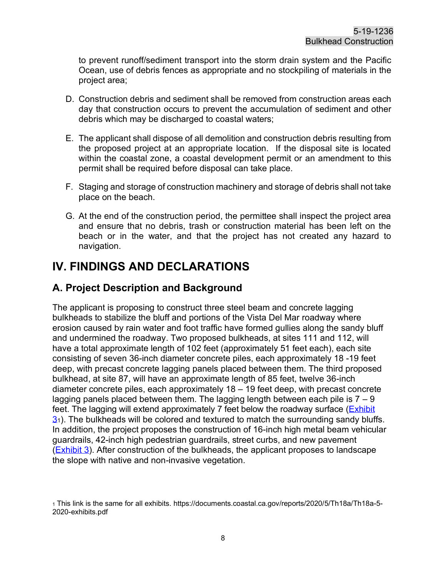to prevent runoff/sediment transport into the storm drain system and the Pacific Ocean, use of debris fences as appropriate and no stockpiling of materials in the project area;

- D. Construction debris and sediment shall be removed from construction areas each day that construction occurs to prevent the accumulation of sediment and other debris which may be discharged to coastal waters;
- E. The applicant shall dispose of all demolition and construction debris resulting from the proposed project at an appropriate location. If the disposal site is located within the coastal zone, a coastal development permit or an amendment to this permit shall be required before disposal can take place.
- F. Staging and storage of construction machinery and storage of debris shall not take place on the beach.
- G. At the end of the construction period, the permittee shall inspect the project area and ensure that no debris, trash or construction material has been left on the beach or in the water, and that the project has not created any hazard to navigation.

# <span id="page-7-0"></span>**IV. FINDINGS AND DECLARATIONS**

## <span id="page-7-1"></span>**A. Project Description and Background**

The applicant is proposing to construct three steel beam and concrete lagging bulkheads to stabilize the bluff and portions of the Vista Del Mar roadway where erosion caused by rain water and foot traffic have formed gullies along the sandy bluff and undermined the roadway. Two proposed bulkheads, at sites 111 and 112, will have a total approximate length of 102 feet (approximately 51 feet each), each site consisting of seven 36-inch diameter concrete piles, each approximately 18 -19 feet deep, with precast concrete lagging panels placed between them. The third proposed bulkhead, at site 87, will have an approximate length of 85 feet, twelve 36-inch diameter concrete piles, each approximately 18 – 19 feet deep, with precast concrete lagging panels placed between them. The lagging length between each pile is  $7 - 9$ feet. The lagging will extend approximately 7 feet below the roadway surface [\(Exhibit](https://documents.coastal.ca.gov/reports/2020/5/Th18a/Th18a-5-2020-exhibits.pdf)   $3<sub>1</sub>$  $3<sub>1</sub>$ ). The bulkheads will be colored and textured to match the surrounding sandy bluffs. In addition, the project proposes the construction of 16-inch high metal beam vehicular guardrails, 42-inch high pedestrian guardrails, street curbs, and new pavement [\(Exhibit 3\)](https://documents.coastal.ca.gov/reports/2020/5/Th18a/Th18a-5-2020-exhibits.pdf). After construction of the bulkheads, the applicant proposes to landscape the slope with native and non-invasive vegetation.

<sup>1</sup> This link is the same for all exhibits. https://documents.coastal.ca.gov/reports/2020/5/Th18a/Th18a-5- 2020-exhibits.pdf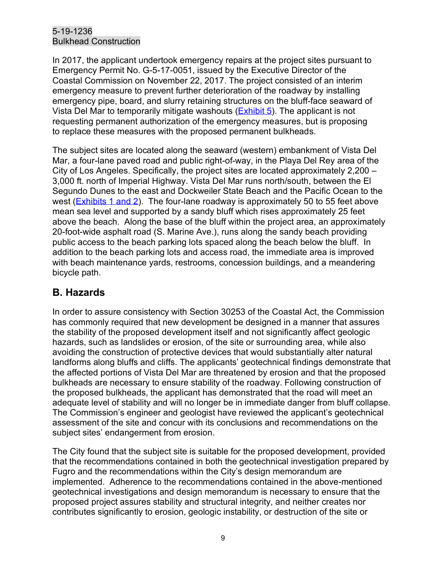In 2017, the applicant undertook emergency repairs at the project sites pursuant to Emergency Permit No. G-5-17-0051, issued by the Executive Director of the Coastal Commission on November 22, 2017. The project consisted of an interim emergency measure to prevent further deterioration of the roadway by installing emergency pipe, board, and slurry retaining structures on the bluff-face seaward of Vista Del Mar to temporarily mitigate washouts [\(Exhibit 5\)](https://documents.coastal.ca.gov/reports/2020/5/Th18a/Th18a-5-2020-exhibits.pdf). The applicant is not requesting permanent authorization of the emergency measures, but is proposing to replace these measures with the proposed permanent bulkheads.

The subject sites are located along the seaward (western) embankment of Vista Del Mar, a four-lane paved road and public right-of-way, in the Playa Del Rey area of the City of Los Angeles. Specifically, the project sites are located approximately 2,200 – 3,000 ft. north of Imperial Highway. Vista Del Mar runs north/south, between the El Segundo Dunes to the east and Dockweiler State Beach and the Pacific Ocean to the west (**Exhibits 1 and 2**). The four-lane roadway is approximately 50 to 55 feet above mean sea level and supported by a sandy bluff which rises approximately 25 feet above the beach. Along the base of the bluff within the project area, an approximately 20-foot-wide asphalt road (S. Marine Ave.), runs along the sandy beach providing public access to the beach parking lots spaced along the beach below the bluff. In addition to the beach parking lots and access road, the immediate area is improved with beach maintenance yards, restrooms, concession buildings, and a meandering bicycle path.

# <span id="page-8-0"></span>**B. Hazards**

In order to assure consistency with Section 30253 of the Coastal Act, the Commission has commonly required that new development be designed in a manner that assures the stability of the proposed development itself and not significantly affect geologic hazards, such as landslides or erosion, of the site or surrounding area, while also avoiding the construction of protective devices that would substantially alter natural landforms along bluffs and cliffs. The applicants' geotechnical findings demonstrate that the affected portions of Vista Del Mar are threatened by erosion and that the proposed bulkheads are necessary to ensure stability of the roadway. Following construction of the proposed bulkheads, the applicant has demonstrated that the road will meet an adequate level of stability and will no longer be in immediate danger from bluff collapse. The Commission's engineer and geologist have reviewed the applicant's geotechnical assessment of the site and concur with its conclusions and recommendations on the subject sites' endangerment from erosion.

The City found that the subject site is suitable for the proposed development, provided that the recommendations contained in both the geotechnical investigation prepared by Fugro and the recommendations within the City's design memorandum are implemented. Adherence to the recommendations contained in the above-mentioned geotechnical investigations and design memorandum is necessary to ensure that the proposed project assures stability and structural integrity, and neither creates nor contributes significantly to erosion, geologic instability, or destruction of the site or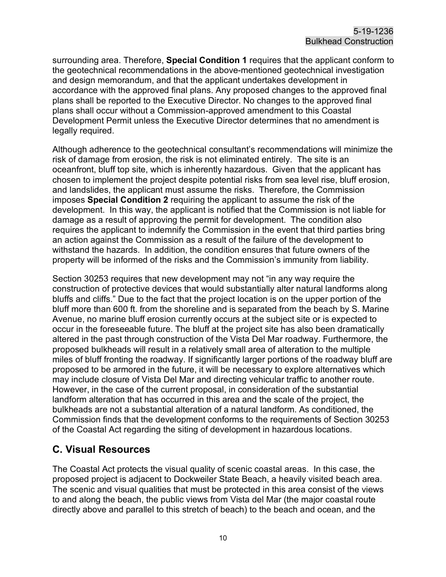surrounding area. Therefore, **Special Condition 1** requires that the applicant conform to the geotechnical recommendations in the above-mentioned geotechnical investigation and design memorandum, and that the applicant undertakes development in accordance with the approved final plans. Any proposed changes to the approved final plans shall be reported to the Executive Director. No changes to the approved final plans shall occur without a Commission-approved amendment to this Coastal Development Permit unless the Executive Director determines that no amendment is legally required.

Although adherence to the geotechnical consultant's recommendations will minimize the risk of damage from erosion, the risk is not eliminated entirely. The site is an oceanfront, bluff top site, which is inherently hazardous. Given that the applicant has chosen to implement the project despite potential risks from sea level rise, bluff erosion, and landslides, the applicant must assume the risks. Therefore, the Commission imposes **Special Condition 2** requiring the applicant to assume the risk of the development. In this way, the applicant is notified that the Commission is not liable for damage as a result of approving the permit for development. The condition also requires the applicant to indemnify the Commission in the event that third parties bring an action against the Commission as a result of the failure of the development to withstand the hazards. In addition, the condition ensures that future owners of the property will be informed of the risks and the Commission's immunity from liability.

Section 30253 requires that new development may not "in any way require the construction of protective devices that would substantially alter natural landforms along bluffs and cliffs." Due to the fact that the project location is on the upper portion of the bluff more than 600 ft. from the shoreline and is separated from the beach by S. Marine Avenue, no marine bluff erosion currently occurs at the subject site or is expected to occur in the foreseeable future. The bluff at the project site has also been dramatically altered in the past through construction of the Vista Del Mar roadway. Furthermore, the proposed bulkheads will result in a relatively small area of alteration to the multiple miles of bluff fronting the roadway. If significantly larger portions of the roadway bluff are proposed to be armored in the future, it will be necessary to explore alternatives which may include closure of Vista Del Mar and directing vehicular traffic to another route. However, in the case of the current proposal, in consideration of the substantial landform alteration that has occurred in this area and the scale of the project, the bulkheads are not a substantial alteration of a natural landform. As conditioned, the Commission finds that the development conforms to the requirements of Section 30253 of the Coastal Act regarding the siting of development in hazardous locations.

## <span id="page-9-0"></span>**C. Visual Resources**

The Coastal Act protects the visual quality of scenic coastal areas. In this case, the proposed project is adjacent to Dockweiler State Beach, a heavily visited beach area. The scenic and visual qualities that must be protected in this area consist of the views to and along the beach, the public views from Vista del Mar (the major coastal route directly above and parallel to this stretch of beach) to the beach and ocean, and the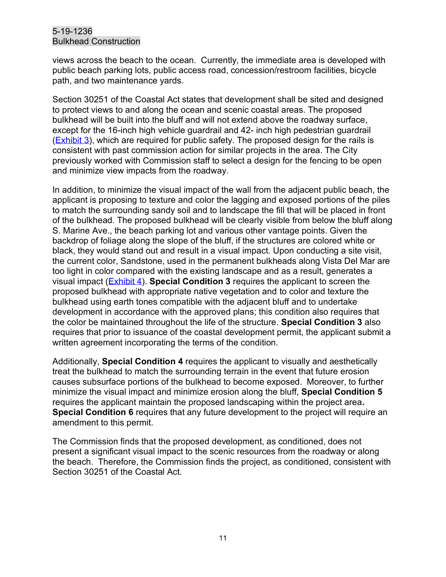views across the beach to the ocean. Currently, the immediate area is developed with public beach parking lots, public access road, concession/restroom facilities, bicycle path, and two maintenance yards.

Section 30251 of the Coastal Act states that development shall be sited and designed to protect views to and along the ocean and scenic coastal areas. The proposed bulkhead will be built into the bluff and will not extend above the roadway surface, except for the 16-inch high vehicle guardrail and 42- inch high pedestrian guardrail (**Exhibit 3**), which are required for public safety. The proposed design for the rails is consistent with past commission action for similar projects in the area. The City previously worked with Commission staff to select a design for the fencing to be open and minimize view impacts from the roadway.

In addition, to minimize the visual impact of the wall from the adjacent public beach, the applicant is proposing to texture and color the lagging and exposed portions of the piles to match the surrounding sandy soil and to landscape the fill that will be placed in front of the bulkhead. The proposed bulkhead will be clearly visible from below the bluff along S. Marine Ave., the beach parking lot and various other vantage points. Given the backdrop of foliage along the slope of the bluff, if the structures are colored white or black, they would stand out and result in a visual impact. Upon conducting a site visit, the current color, Sandstone, used in the permanent bulkheads along Vista Del Mar are too light in color compared with the existing landscape and as a result, generates a visual impact [\(Exhibit 4\)](https://documents.coastal.ca.gov/reports/2020/5/Th18a/Th18a-5-2020-exhibits.pdf). **Special Condition 3** requires the applicant to screen the proposed bulkhead with appropriate native vegetation and to color and texture the bulkhead using earth tones compatible with the adjacent bluff and to undertake development in accordance with the approved plans; this condition also requires that the color be maintained throughout the life of the structure. **Special Condition 3** also requires that prior to issuance of the coastal development permit, the applicant submit a written agreement incorporating the terms of the condition.

Additionally, **Special Condition 4** requires the applicant to visually and aesthetically treat the bulkhead to match the surrounding terrain in the event that future erosion causes subsurface portions of the bulkhead to become exposed. Moreover, to further minimize the visual impact and minimize erosion along the bluff, **Special Condition 5** requires the applicant maintain the proposed landscaping within the project area**. Special Condition 6** requires that any future development to the project will require an amendment to this permit.

The Commission finds that the proposed development, as conditioned, does not present a significant visual impact to the scenic resources from the roadway or along the beach. Therefore, the Commission finds the project, as conditioned, consistent with Section 30251 of the Coastal Act.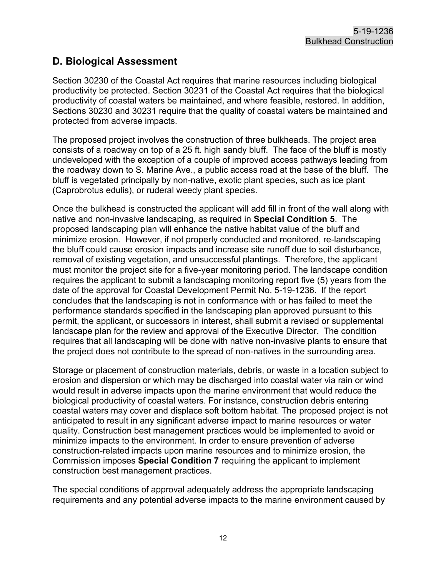# <span id="page-11-0"></span>**D. Biological Assessment**

Section 30230 of the Coastal Act requires that marine resources including biological productivity be protected. Section 30231 of the Coastal Act requires that the biological productivity of coastal waters be maintained, and where feasible, restored. In addition, Sections 30230 and 30231 require that the quality of coastal waters be maintained and protected from adverse impacts.

The proposed project involves the construction of three bulkheads. The project area consists of a roadway on top of a 25 ft. high sandy bluff. The face of the bluff is mostly undeveloped with the exception of a couple of improved access pathways leading from the roadway down to S. Marine Ave., a public access road at the base of the bluff. The bluff is vegetated principally by non-native, exotic plant species, such as ice plant (Caprobrotus edulis), or ruderal weedy plant species.

Once the bulkhead is constructed the applicant will add fill in front of the wall along with native and non-invasive landscaping, as required in **Special Condition 5**. The proposed landscaping plan will enhance the native habitat value of the bluff and minimize erosion. However, if not properly conducted and monitored, re-landscaping the bluff could cause erosion impacts and increase site runoff due to soil disturbance, removal of existing vegetation, and unsuccessful plantings. Therefore, the applicant must monitor the project site for a five-year monitoring period. The landscape condition requires the applicant to submit a landscaping monitoring report five (5) years from the date of the approval for Coastal Development Permit No. 5-19-1236. If the report concludes that the landscaping is not in conformance with or has failed to meet the performance standards specified in the landscaping plan approved pursuant to this permit, the applicant, or successors in interest, shall submit a revised or supplemental landscape plan for the review and approval of the Executive Director. The condition requires that all landscaping will be done with native non-invasive plants to ensure that the project does not contribute to the spread of non-natives in the surrounding area.

Storage or placement of construction materials, debris, or waste in a location subject to erosion and dispersion or which may be discharged into coastal water via rain or wind would result in adverse impacts upon the marine environment that would reduce the biological productivity of coastal waters. For instance, construction debris entering coastal waters may cover and displace soft bottom habitat. The proposed project is not anticipated to result in any significant adverse impact to marine resources or water quality. Construction best management practices would be implemented to avoid or minimize impacts to the environment. In order to ensure prevention of adverse construction-related impacts upon marine resources and to minimize erosion, the Commission imposes **Special Condition 7** requiring the applicant to implement construction best management practices.

The special conditions of approval adequately address the appropriate landscaping requirements and any potential adverse impacts to the marine environment caused by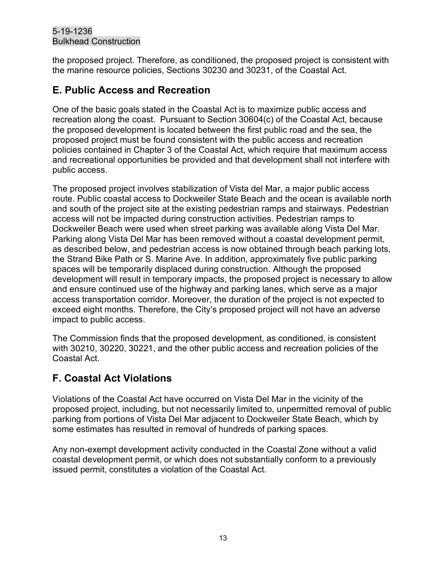the proposed project. Therefore, as conditioned, the proposed project is consistent with the marine resource policies, Sections 30230 and 30231, of the Coastal Act.

## <span id="page-12-0"></span>**E. Public Access and Recreation**

One of the basic goals stated in the Coastal Act is to maximize public access and recreation along the coast. Pursuant to Section 30604(c) of the Coastal Act, because the proposed development is located between the first public road and the sea, the proposed project must be found consistent with the public access and recreation policies contained in Chapter 3 of the Coastal Act, which require that maximum access and recreational opportunities be provided and that development shall not interfere with public access.

The proposed project involves stabilization of Vista del Mar, a major public access route. Public coastal access to Dockweiler State Beach and the ocean is available north and south of the project site at the existing pedestrian ramps and stairways. Pedestrian access will not be impacted during construction activities. Pedestrian ramps to Dockweiler Beach were used when street parking was available along Vista Del Mar. Parking along Vista Del Mar has been removed without a coastal development permit, as described below, and pedestrian access is now obtained through beach parking lots, the Strand Bike Path or S. Marine Ave. In addition, approximately five public parking spaces will be temporarily displaced during construction. Although the proposed development will result in temporary impacts, the proposed project is necessary to allow and ensure continued use of the highway and parking lanes, which serve as a major access transportation corridor. Moreover, the duration of the project is not expected to exceed eight months. Therefore, the City's proposed project will not have an adverse impact to public access.

The Commission finds that the proposed development, as conditioned, is consistent with 30210, 30220, 30221, and the other public access and recreation policies of the Coastal Act.

# <span id="page-12-1"></span>**F. Coastal Act Violations**

Violations of the Coastal Act have occurred on Vista Del Mar in the vicinity of the proposed project, including, but not necessarily limited to, unpermitted removal of public parking from portions of Vista Del Mar adjacent to Dockweiler State Beach, which by some estimates has resulted in removal of hundreds of parking spaces.

Any non-exempt development activity conducted in the Coastal Zone without a valid coastal development permit, or which does not substantially conform to a previously issued permit, constitutes a violation of the Coastal Act.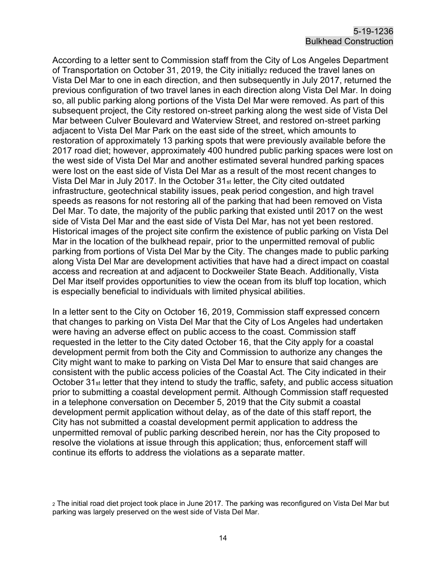According to a letter sent to Commission staff from the City of Los Angeles Department of Transportation on October 31, 2019, the City initially<sub>2</sub> reduced the travel lanes on Vista Del Mar to one in each direction, and then subsequently in July 2017, returned the previous configuration of two travel lanes in each direction along Vista Del Mar. In doing so, all public parking along portions of the Vista Del Mar were removed. As part of this subsequent project, the City restored on-street parking along the west side of Vista Del Mar between Culver Boulevard and Waterview Street, and restored on-street parking adjacent to Vista Del Mar Park on the east side of the street, which amounts to restoration of approximately 13 parking spots that were previously available before the 2017 road diet; however, approximately 400 hundred public parking spaces were lost on the west side of Vista Del Mar and another estimated several hundred parking spaces were lost on the east side of Vista Del Mar as a result of the most recent changes to Vista Del Mar in July 2017. In the October 31st letter, the City cited outdated infrastructure, geotechnical stability issues, peak period congestion, and high travel speeds as reasons for not restoring all of the parking that had been removed on Vista Del Mar. To date, the majority of the public parking that existed until 2017 on the west side of Vista Del Mar and the east side of Vista Del Mar, has not yet been restored. Historical images of the project site confirm the existence of public parking on Vista Del Mar in the location of the bulkhead repair, prior to the unpermitted removal of public parking from portions of Vista Del Mar by the City. The changes made to public parking along Vista Del Mar are development activities that have had a direct impact on coastal access and recreation at and adjacent to Dockweiler State Beach. Additionally, Vista Del Mar itself provides opportunities to view the ocean from its bluff top location, which is especially beneficial to individuals with limited physical abilities.

In a letter sent to the City on October 16, 2019, Commission staff expressed concern that changes to parking on Vista Del Mar that the City of Los Angeles had undertaken were having an adverse effect on public access to the coast. Commission staff requested in the letter to the City dated October 16, that the City apply for a coastal development permit from both the City and Commission to authorize any changes the City might want to make to parking on Vista Del Mar to ensure that said changes are consistent with the public access policies of the Coastal Act. The City indicated in their October 31st letter that they intend to study the traffic, safety, and public access situation prior to submitting a coastal development permit. Although Commission staff requested in a telephone conversation on December 5, 2019 that the City submit a coastal development permit application without delay, as of the date of this staff report, the City has not submitted a coastal development permit application to address the unpermitted removal of public parking described herein, nor has the City proposed to resolve the violations at issue through this application; thus, enforcement staff will continue its efforts to address the violations as a separate matter.

<sup>2</sup> The initial road diet project took place in June 2017. The parking was reconfigured on Vista Del Mar but parking was largely preserved on the west side of Vista Del Mar.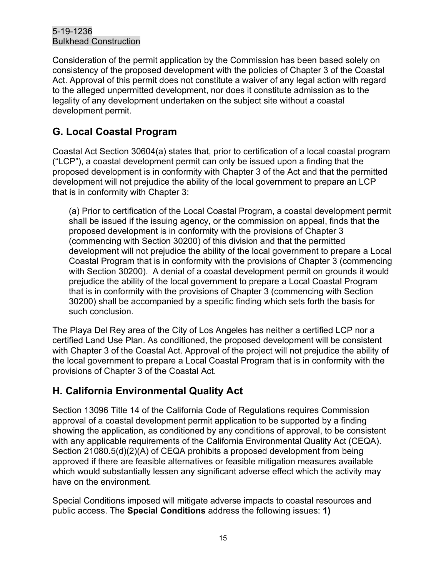Consideration of the permit application by the Commission has been based solely on consistency of the proposed development with the policies of Chapter 3 of the Coastal Act. Approval of this permit does not constitute a waiver of any legal action with regard to the alleged unpermitted development, nor does it constitute admission as to the legality of any development undertaken on the subject site without a coastal development permit.

# <span id="page-14-0"></span>**G. Local Coastal Program**

Coastal Act Section 30604(a) states that, prior to certification of a local coastal program ("LCP"), a coastal development permit can only be issued upon a finding that the proposed development is in conformity with Chapter 3 of the Act and that the permitted development will not prejudice the ability of the local government to prepare an LCP that is in conformity with Chapter 3:

(a) Prior to certification of the Local Coastal Program, a coastal development permit shall be issued if the issuing agency, or the commission on appeal, finds that the proposed development is in conformity with the provisions of Chapter 3 (commencing with Section 30200) of this division and that the permitted development will not prejudice the ability of the local government to prepare a Local Coastal Program that is in conformity with the provisions of Chapter 3 (commencing with Section 30200). A denial of a coastal development permit on grounds it would prejudice the ability of the local government to prepare a Local Coastal Program that is in conformity with the provisions of Chapter 3 (commencing with Section 30200) shall be accompanied by a specific finding which sets forth the basis for such conclusion.

The Playa Del Rey area of the City of Los Angeles has neither a certified LCP nor a certified Land Use Plan. As conditioned, the proposed development will be consistent with Chapter 3 of the Coastal Act. Approval of the project will not prejudice the ability of the local government to prepare a Local Coastal Program that is in conformity with the provisions of Chapter 3 of the Coastal Act.

# <span id="page-14-1"></span>**H. California Environmental Quality Act**

Section 13096 Title 14 of the California Code of Regulations requires Commission approval of a coastal development permit application to be supported by a finding showing the application, as conditioned by any conditions of approval, to be consistent with any applicable requirements of the California Environmental Quality Act (CEQA). Section 21080.5(d)(2)(A) of CEQA prohibits a proposed development from being approved if there are feasible alternatives or feasible mitigation measures available which would substantially lessen any significant adverse effect which the activity may have on the environment.

Special Conditions imposed will mitigate adverse impacts to coastal resources and public access. The **Special Conditions** address the following issues: **1)**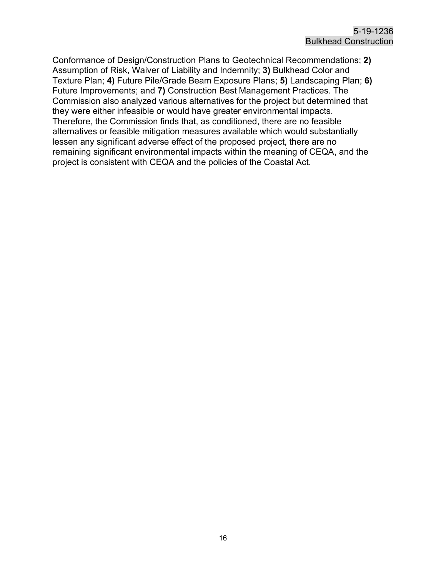Conformance of Design/Construction Plans to Geotechnical Recommendations; **2)** Assumption of Risk, Waiver of Liability and Indemnity; **3)** Bulkhead Color and Texture Plan; **4)** Future Pile/Grade Beam Exposure Plans; **5)** Landscaping Plan; **6)** Future Improvements; and **7)** Construction Best Management Practices. The Commission also analyzed various alternatives for the project but determined that they were either infeasible or would have greater environmental impacts. Therefore, the Commission finds that, as conditioned, there are no feasible alternatives or feasible mitigation measures available which would substantially lessen any significant adverse effect of the proposed project, there are no remaining significant environmental impacts within the meaning of CEQA, and the project is consistent with CEQA and the policies of the Coastal Act.